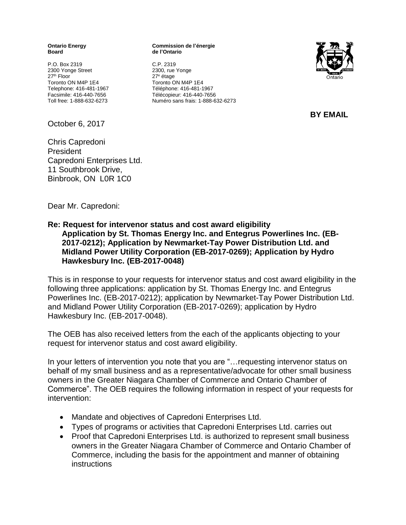**Board de l'Ontario**

P.O. Box 2319<br>
2300 Yonge Street<br>
2300 Yonge Street<br>
2300, rue Yonge 2300 Yonge Street 27 th Floor 27 Toronto ON M4P 1E4 Toronto ON M4P 1E4 Telephone: 416-481-1967 Téléphone: 416-481-1967

October 6, 2017

Chris Capredoni President Capredoni Enterprises Ltd. 11 Southbrook Drive, Binbrook, ON L0R 1C0

**Ontario Energy Commission de l'énergie**

27<sup>e</sup> étage Facsimile: 416-440-7656 Télécopieur: 416-440-7656 Toll free: 1-888-632-6273 Numéro sans frais: 1-888-632-6273



**BY EMAIL**

Dear Mr. Capredoni:

## **Re: Request for intervenor status and cost award eligibility Application by St. Thomas Energy Inc. and Entegrus Powerlines Inc. (EB-2017-0212); Application by Newmarket-Tay Power Distribution Ltd. and Midland Power Utility Corporation (EB-2017-0269); Application by Hydro Hawkesbury Inc. (EB-2017-0048)**

This is in response to your requests for intervenor status and cost award eligibility in the following three applications: application by St. Thomas Energy Inc. and Entegrus Powerlines Inc. (EB-2017-0212); application by Newmarket-Tay Power Distribution Ltd. and Midland Power Utility Corporation (EB-2017-0269); application by Hydro Hawkesbury Inc. (EB-2017-0048).

The OEB has also received letters from the each of the applicants objecting to your request for intervenor status and cost award eligibility.

In your letters of intervention you note that you are "... requesting intervenor status on behalf of my small business and as a representative/advocate for other small business owners in the Greater Niagara Chamber of Commerce and Ontario Chamber of Commerce". The OEB requires the following information in respect of your requests for intervention:

- Mandate and objectives of Capredoni Enterprises Ltd.
- Types of programs or activities that Capredoni Enterprises Ltd. carries out
- Proof that Capredoni Enterprises Ltd. is authorized to represent small business owners in the Greater Niagara Chamber of Commerce and Ontario Chamber of Commerce, including the basis for the appointment and manner of obtaining instructions